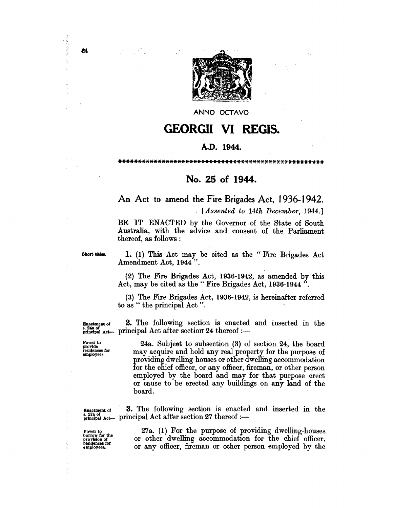

ANNO OCTAVO

## **GEORGII VI REGIS.**

## A.D. **1944.**

\*\*\*\*\*\*\*\*\*\*\*\*\*\*\*\*\*\*\*\*\*\*\*~~\*\*\*\*\*\*\*\*\*\*\*\*\*\*\*\*\*\*\*\*\*\*\*\*\*;\*\*

## **No. 25 of 1944.**

## An Act to amend the Fire Brigades Act, 1936-1942.

*[Assented to 14th December, 1944.]* 

BE IT ENACTED by the Governor of the State of South Australia, With the advice and consent of the Parliament· thereof, as follows :

 $B<sub>bot</sub>$  titles. 1. (1) This Act may be cited as the "Fire Brigades Act Amendment Act, 1944 ".

> (2) The Fire Brigades Act, 1936-1942, as amended by this Act, may be cited as the" Fire Brigades Act, 1936-1944 ".

> (3) The Fire Brigades Act, 1936-1942, is hereinafter referred to as " the principal Act ".

 $E$ nactment of 2. The following section is enacted and inserted in the  $_{p~\text{initial Act}}^{s. gas~\text{or}}$   $_{p~\text{initial Act}}$  after section 24 thereof :-

Power to provide contract control and the subsection (3) of section 24, the board residences for may acquire and hold any real property for the purpose of may acquire and hold any real property for the purpose of providing dwelling-houses or other dwelling accommodation for the chief officer, or any officer, fireman, or other person employed by the board and may for that purpose erect or cause to be erected any buildings on any land of the board.

 $\frac{E_{\text{Inactment of}}}{2.278 \text{ of}}$  3. The following section is enacted and inserted in the  $_{\text{principal Act}}^{\text{s. 278 of}}$  and  $_{\text{actual Act}}$  principal Act after section 27 thereof :-

Power to borrow for the provision of residences for employees.

¥.

š

27a. (1) For the purpose of providing dwelling-houses or other dwelling accommodation for the chief officer, or any officer, fireman or other person employed by the

64

(名称)から、